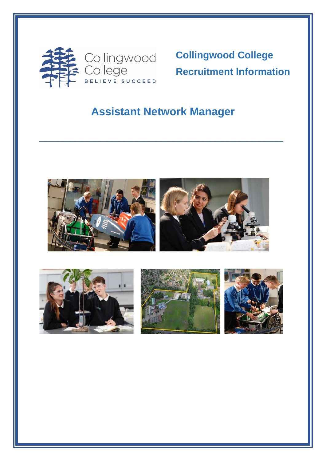

**Collingwood College Recruitment Information** 

# **Assistant Network Manager**

**\_\_\_\_\_\_\_\_\_\_\_\_\_\_\_\_\_\_\_\_\_\_\_\_\_\_\_\_\_\_\_\_\_\_\_\_\_\_\_\_**



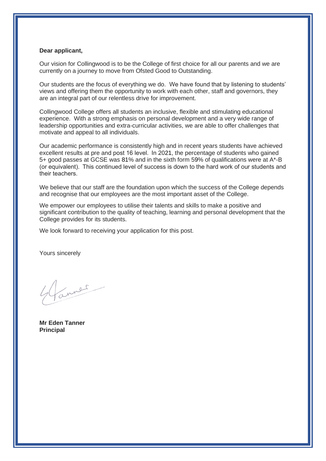## **Dear applicant,**

Our vision for Collingwood is to be the College of first choice for all our parents and we are currently on a journey to move from Ofsted Good to Outstanding.

Our students are the focus of everything we do. We have found that by listening to students' views and offering them the opportunity to work with each other, staff and governors, they are an integral part of our relentless drive for improvement.

Collingwood College offers all students an inclusive, flexible and stimulating educational experience. With a strong emphasis on personal development and a very wide range of leadership opportunities and extra-curricular activities, we are able to offer challenges that motivate and appeal to all individuals.

Our academic performance is consistently high and in recent years students have achieved excellent results at pre and post 16 level.  In 2021, the percentage of students who gained 5+ good passes at GCSE was 81% and in the sixth form 59% of qualifications were at A\*-B (or equivalent).  This continued level of success is down to the hard work of our students and their teachers. 

We believe that our staff are the foundation upon which the success of the College depends and recognise that our employees are the most important asset of the College.

We empower our employees to utilise their talents and skills to make a positive and significant contribution to the quality of teaching, learning and personal development that the College provides for its students.

We look forward to receiving your application for this post.

Yours sincerely

inner

**Mr Eden Tanner Principal**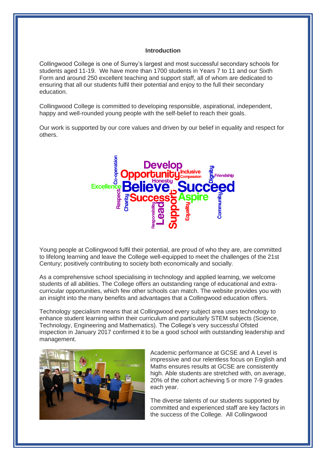#### **Introduction**

Collingwood College is one of Surrey's largest and most successful secondary schools for students aged 11-19. We have more than 1700 students in Years 7 to 11 and our Sixth Form and around 250 excellent teaching and support staff, all of whom are dedicated to ensuring that all our students fulfil their potential and enjoy to the full their secondary education.

Collingwood College is committed to developing responsible, aspirational, independent, happy and well-rounded young people with the self-belief to reach their goals.

Our work is supported by our core values and driven by our belief in equality and respect for others.



Young people at Collingwood fulfil their potential, are proud of who they are, are committed to lifelong learning and leave the College well-equipped to meet the challenges of the 21st Century; positively contributing to society both economically and socially.

As a comprehensive school specialising in technology and applied learning, we welcome students of all abilities. The College offers an outstanding range of educational and extracurricular opportunities, which few other schools can match. The website provides you with an insight into the many benefits and advantages that a Collingwood education offers.

Technology specialism means that at Collingwood every subject area uses technology to enhance student learning within their curriculum and particularly STEM subjects (Science, Technology, Engineering and Mathematics). The College's very successful Ofsted inspection in January 2017 confirmed it to be a good school with outstanding leadership and management.



Academic performance at GCSE and A Level is impressive and our relentless focus on English and Maths ensures results at GCSE are consistently high. Able students are stretched with, on average, 20% of the cohort achieving 5 or more 7-9 grades each year.

The diverse talents of our students supported by committed and experienced staff are key factors in the success of the College. All Collingwood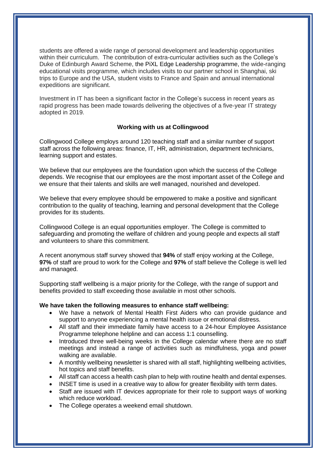students are offered a wide range of personal development and leadership opportunities within their curriculum. The contribution of extra-curricular activities such as the College's Duke of Edinburgh Award Scheme, the PiXL Edge Leadership programme, the wide-ranging educational visits programme, which includes visits to our partner school in Shanghai, ski trips to Europe and the USA, student visits to France and Spain and annual international expeditions are significant.

Investment in IT has been a significant factor in the College's success in recent years as rapid progress has been made towards delivering the objectives of a five-year IT strategy adopted in 2019.

# **Working with us at Collingwood**

Collingwood College employs around 120 teaching staff and a similar number of support staff across the following areas: finance, IT, HR, administration, department technicians, learning support and estates.

We believe that our employees are the foundation upon which the success of the College depends. We recognise that our employees are the most important asset of the College and we ensure that their talents and skills are well managed, nourished and developed.

We believe that every employee should be empowered to make a positive and significant contribution to the quality of teaching, learning and personal development that the College provides for its students.

Collingwood College is an equal opportunities employer. The College is committed to safeguarding and promoting the welfare of children and young people and expects all staff and volunteers to share this commitment.

A recent anonymous staff survey showed that **94%** of staff enjoy working at the College, **97%** of staff are proud to work for the College and **97%** of staff believe the College is well led and managed.

Supporting staff wellbeing is a major priority for the College, with the range of support and benefits provided to staff exceeding those available in most other schools.

### **We have taken the following measures to enhance staff wellbeing:**

- We have a network of Mental Health First Aiders who can provide guidance and support to anyone experiencing a mental health issue or emotional distress.
- All staff and their immediate family have access to a 24-hour Employee Assistance Programme telephone helpline and can access 1:1 counselling.
- Introduced three well-being weeks in the College calendar where there are no staff meetings and instead a range of activities such as mindfulness, yoga and power walking are available.
- A monthly wellbeing newsletter is shared with all staff, highlighting wellbeing activities, hot topics and staff benefits.
- All staff can access a health cash plan to help with routine health and dental expenses.
- INSET time is used in a creative way to allow for greater flexibility with term dates.
- Staff are issued with IT devices appropriate for their role to support ways of working which reduce workload.
- The College operates a weekend email shutdown.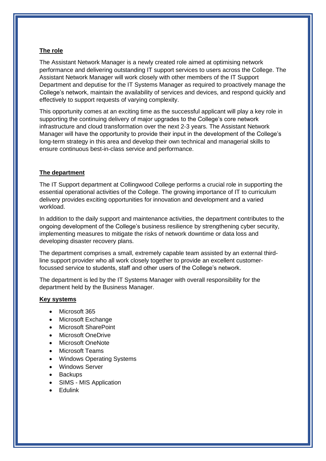# **The role**

The Assistant Network Manager is a newly created role aimed at optimising network performance and delivering outstanding IT support services to users across the College. The Assistant Network Manager will work closely with other members of the IT Support Department and deputise for the IT Systems Manager as required to proactively manage the College's network, maintain the availability of services and devices, and respond quickly and effectively to support requests of varying complexity.

This opportunity comes at an exciting time as the successful applicant will play a key role in supporting the continuing delivery of major upgrades to the College's core network infrastructure and cloud transformation over the next 2-3 years. The Assistant Network Manager will have the opportunity to provide their input in the development of the College's long-term strategy in this area and develop their own technical and managerial skills to ensure continuous best-in-class service and performance.

## **The department**

The IT Support department at Collingwood College performs a crucial role in supporting the essential operational activities of the College. The growing importance of IT to curriculum delivery provides exciting opportunities for innovation and development and a varied workload.

In addition to the daily support and maintenance activities, the department contributes to the ongoing development of the College's business resilience by strengthening cyber security, implementing measures to mitigate the risks of network downtime or data loss and developing disaster recovery plans.

The department comprises a small, extremely capable team assisted by an external thirdline support provider who all work closely together to provide an excellent customerfocussed service to students, staff and other users of the College's network.

The department is led by the IT Systems Manager with overall responsibility for the department held by the Business Manager.

# **Key systems**

- Microsoft 365
- Microsoft Exchange
- Microsoft SharePoint
- Microsoft OneDrive
- Microsoft OneNote
- Microsoft Teams
- Windows Operating Systems
- Windows Server
- **Backups**
- SIMS MIS Application
- Edulink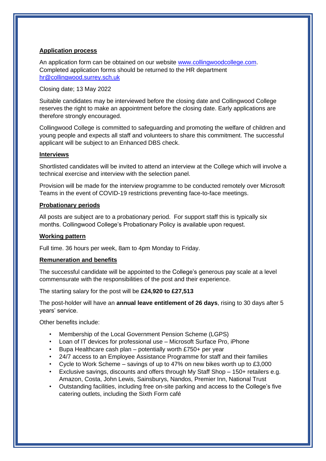# **Application process**

An application form can be obtained on our website [www.collingwoodcollege.com.](http://www.collingwoodcollege.com/) Completed application forms should be returned to the HR department [hr@collingwood.surrey.sch.uk](mailto:hr@collingwood.surrey.sch.uk) 

Closing date; 13 May 2022

Suitable candidates may be interviewed before the closing date and Collingwood College reserves the right to make an appointment before the closing date. Early applications are therefore strongly encouraged.

Collingwood College is committed to safeguarding and promoting the welfare of children and young people and expects all staff and volunteers to share this commitment. The successful applicant will be subject to an Enhanced DBS check.

## **Interviews**

Shortlisted candidates will be invited to attend an interview at the College which will involve a technical exercise and interview with the selection panel.

Provision will be made for the interview programme to be conducted remotely over Microsoft Teams in the event of COVID-19 restrictions preventing face-to-face meetings.

### **Probationary periods**

All posts are subject are to a probationary period. For support staff this is typically six months. Collingwood College's Probationary Policy is available upon request.

## **Working pattern**

Full time. 36 hours per week, 8am to 4pm Monday to Friday.

### **Remuneration and benefits**

The successful candidate will be appointed to the College's generous pay scale at a level commensurate with the responsibilities of the post and their experience.

The starting salary for the post will be **£24,920 to £27,513**

The post-holder will have an **annual leave entitlement of 26 days**, rising to 30 days after 5 years' service.

Other benefits include:

- Membership of the Local Government Pension Scheme (LGPS)
- Loan of IT devices for professional use Microsoft Surface Pro, iPhone
- Bupa Healthcare cash plan potentially worth £750+ per year
- 24/7 access to an Employee Assistance Programme for staff and their families
- Cycle to Work Scheme savings of up to 47% on new bikes worth up to £3,000
- Exclusive savings, discounts and offers through My Staff Shop 150+ retailers e.g. Amazon, Costa, John Lewis, Sainsburys, Nandos, Premier Inn, National Trust
- Outstanding facilities, including free on-site parking and access to the College's five catering outlets, including the Sixth Form café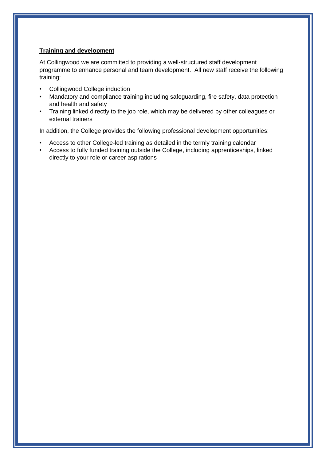# **Training and development**

At Collingwood we are committed to providing a well-structured staff development programme to enhance personal and team development. All new staff receive the following training:

- Collingwood College induction
- Mandatory and compliance training including safeguarding, fire safety, data protection and health and safety
- Training linked directly to the job role, which may be delivered by other colleagues or external trainers

In addition, the College provides the following professional development opportunities:

- Access to other College-led training as detailed in the termly training calendar
- Access to fully funded training outside the College, including apprenticeships, linked directly to your role or career aspirations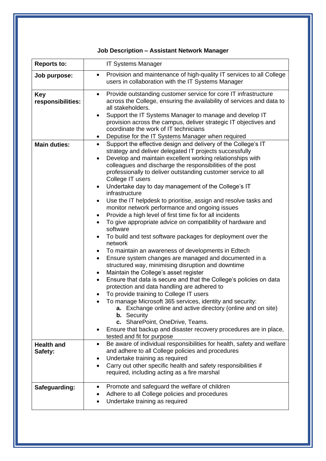# **Job Description – Assistant Network Manager**

| <b>Reports to:</b>              | <b>IT Systems Manager</b>                                                                                                                                                                                                                                                                                                                                                                                                                                                                                                                                                                                                                                                                                                                                                                                                                                                                                                                                                                                                                                                                                                                                                                                                                                                                                                                                                                                                                                                                                                                                                  |  |  |
|---------------------------------|----------------------------------------------------------------------------------------------------------------------------------------------------------------------------------------------------------------------------------------------------------------------------------------------------------------------------------------------------------------------------------------------------------------------------------------------------------------------------------------------------------------------------------------------------------------------------------------------------------------------------------------------------------------------------------------------------------------------------------------------------------------------------------------------------------------------------------------------------------------------------------------------------------------------------------------------------------------------------------------------------------------------------------------------------------------------------------------------------------------------------------------------------------------------------------------------------------------------------------------------------------------------------------------------------------------------------------------------------------------------------------------------------------------------------------------------------------------------------------------------------------------------------------------------------------------------------|--|--|
| Job purpose:                    | Provision and maintenance of high-quality IT services to all College<br>$\bullet$<br>users in collaboration with the IT Systems Manager                                                                                                                                                                                                                                                                                                                                                                                                                                                                                                                                                                                                                                                                                                                                                                                                                                                                                                                                                                                                                                                                                                                                                                                                                                                                                                                                                                                                                                    |  |  |
| <b>Key</b><br>responsibilities: | Provide outstanding customer service for core IT infrastructure<br>across the College, ensuring the availability of services and data to<br>all stakeholders.<br>Support the IT Systems Manager to manage and develop IT<br>provision across the campus, deliver strategic IT objectives and<br>coordinate the work of IT technicians<br>Deputise for the IT Systems Manager when required                                                                                                                                                                                                                                                                                                                                                                                                                                                                                                                                                                                                                                                                                                                                                                                                                                                                                                                                                                                                                                                                                                                                                                                 |  |  |
| <b>Main duties:</b>             | Support the effective design and delivery of the College's IT<br>$\bullet$<br>strategy and deliver delegated IT projects successfully<br>Develop and maintain excellent working relationships with<br>$\bullet$<br>colleagues and discharge the responsibilities of the post<br>professionally to deliver outstanding customer service to all<br>College IT users<br>Undertake day to day management of the College's IT<br>$\bullet$<br>infrastructure<br>Use the IT helpdesk to prioritise, assign and resolve tasks and<br>٠<br>monitor network performance and ongoing issues<br>Provide a high level of first time fix for all incidents<br>$\bullet$<br>To give appropriate advice on compatibility of hardware and<br>$\bullet$<br>software<br>To build and test software packages for deployment over the<br>$\bullet$<br>network<br>To maintain an awareness of developments in Edtech<br>$\bullet$<br>Ensure system changes are managed and documented in a<br>$\bullet$<br>structured way, minimising disruption and downtime<br>Maintain the College's asset register<br>$\bullet$<br>Ensure that data is secure and that the College's policies on data<br>$\bullet$<br>protection and data handling are adhered to<br>To provide training to College IT users<br>To manage Microsoft 365 services, identity and security:<br><b>a.</b> Exchange online and active directory (online and on site)<br><b>b.</b> Security<br>c. SharePoint, OneDrive, Teams.<br>Ensure that backup and disaster recovery procedures are in place,<br>tested and fit for purpose |  |  |
| <b>Health and</b><br>Safety:    | Be aware of individual responsibilities for health, safety and welfare<br>$\bullet$<br>and adhere to all College policies and procedures<br>Undertake training as required<br>Carry out other specific health and safety responsibilities if<br>required, including acting as a fire marshal                                                                                                                                                                                                                                                                                                                                                                                                                                                                                                                                                                                                                                                                                                                                                                                                                                                                                                                                                                                                                                                                                                                                                                                                                                                                               |  |  |
| Safeguarding:                   | Promote and safeguard the welfare of children<br>٠<br>Adhere to all College policies and procedures<br>Undertake training as required                                                                                                                                                                                                                                                                                                                                                                                                                                                                                                                                                                                                                                                                                                                                                                                                                                                                                                                                                                                                                                                                                                                                                                                                                                                                                                                                                                                                                                      |  |  |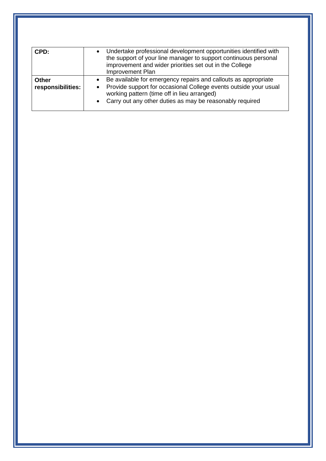| CPD:                              | Undertake professional development opportunities identified with<br>the support of your line manager to support continuous personal<br>improvement and wider priorities set out in the College<br>Improvement Plan                                                                   |
|-----------------------------------|--------------------------------------------------------------------------------------------------------------------------------------------------------------------------------------------------------------------------------------------------------------------------------------|
| <b>Other</b><br>responsibilities: | Be available for emergency repairs and callouts as appropriate<br>$\bullet$<br>Provide support for occasional College events outside your usual<br>$\bullet$<br>working pattern (time off in lieu arranged)<br>Carry out any other duties as may be reasonably required<br>$\bullet$ |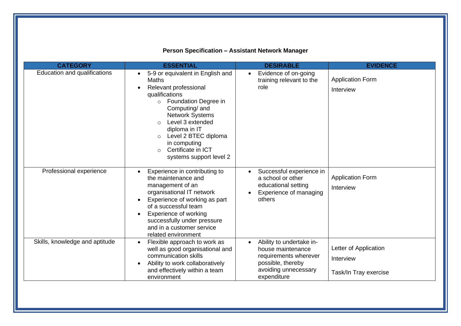# **Person Specification – Assistant Network Manager**

| <b>CATEGORY</b>                | <b>ESSENTIAL</b>                                                                                                                                                                                                                                                                                                                                | <b>DESIRABLE</b>                                                                                                                                | <b>EVIDENCE</b>                                             |
|--------------------------------|-------------------------------------------------------------------------------------------------------------------------------------------------------------------------------------------------------------------------------------------------------------------------------------------------------------------------------------------------|-------------------------------------------------------------------------------------------------------------------------------------------------|-------------------------------------------------------------|
| Education and qualifications   | 5-9 or equivalent in English and<br><b>Maths</b><br>Relevant professional<br>qualifications<br>Foundation Degree in<br>$\circ$<br>Computing/ and<br><b>Network Systems</b><br>Level 3 extended<br>$\bigcirc$<br>diploma in IT<br>Level 2 BTEC diploma<br>$\circ$<br>in computing<br>Certificate in ICT<br>$\bigcirc$<br>systems support level 2 | Evidence of on-going<br>training relevant to the<br>role                                                                                        | <b>Application Form</b><br>Interview                        |
| Professional experience        | Experience in contributing to<br>$\bullet$<br>the maintenance and<br>management of an<br>organisational IT network<br>Experience of working as part<br>of a successful team<br>Experience of working<br>successfully under pressure<br>and in a customer service<br>related environment                                                         | Successful experience in<br>a school or other<br>educational setting<br>Experience of managing<br>others                                        | <b>Application Form</b><br>Interview                        |
| Skills, knowledge and aptitude | Flexible approach to work as<br>$\bullet$<br>well as good organisational and<br>communication skills<br>Ability to work collaboratively<br>and effectively within a team<br>environment                                                                                                                                                         | Ability to undertake in-<br>$\bullet$<br>house maintenance<br>requirements wherever<br>possible, thereby<br>avoiding unnecessary<br>expenditure | Letter of Application<br>Interview<br>Task/In Tray exercise |